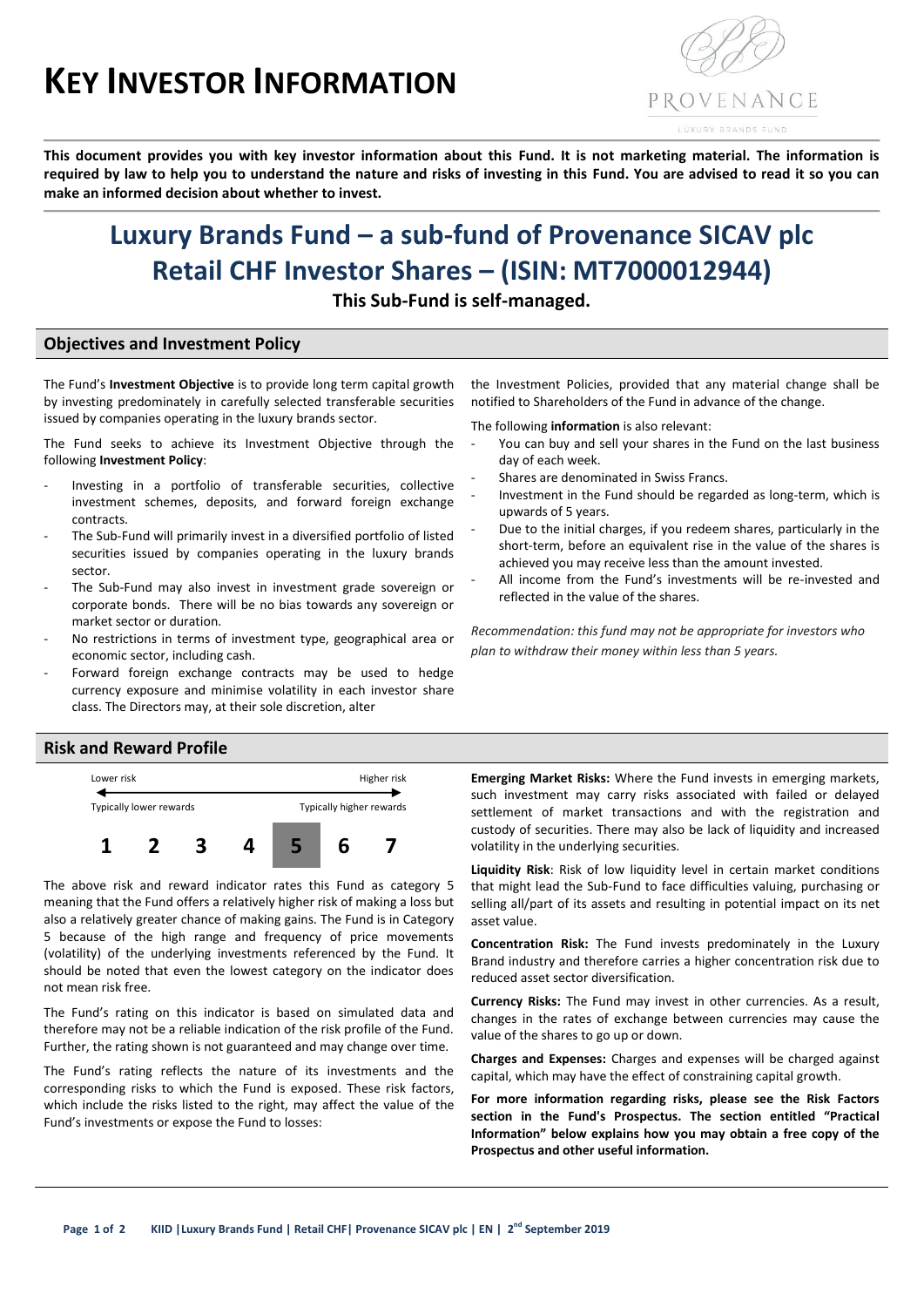# **KEY INVESTOR INFORMATION**



**This document provides you with key investor information about this Fund. It is not marketing material. The information is required by law to help you to understand the nature and risks of investing in this Fund. You are advised to read it so you can make an informed decision about whether to invest.**

# **Luxury Brands Fund – a sub-fund of Provenance SICAV plc Retail CHF Investor Shares – (ISIN: MT7000012944)**

**This Sub-Fund is self-managed.**

## **Objectives and Investment Policy**

The Fund's **Investment Objective** is to provide long term capital growth by investing predominately in carefully selected transferable securities issued by companies operating in the luxury brands sector.

The Fund seeks to achieve its Investment Objective through the following **Investment Policy**:

- Investing in a portfolio of transferable securities, collective investment schemes, deposits, and forward foreign exchange contracts.
- The Sub-Fund will primarily invest in a diversified portfolio of listed securities issued by companies operating in the luxury brands sector.
- The Sub-Fund may also invest in investment grade sovereign or corporate bonds. There will be no bias towards any sovereign or market sector or duration.
- No restrictions in terms of investment type, geographical area or economic sector, including cash.
- Forward foreign exchange contracts may be used to hedge currency exposure and minimise volatility in each investor share class. The Directors may, at their sole discretion, alter

the Investment Policies, provided that any material change shall be notified to Shareholders of the Fund in advance of the change.

The following **information** is also relevant:

- You can buy and sell your shares in the Fund on the last business day of each week.
- Shares are denominated in Swiss Francs.
- Investment in the Fund should be regarded as long-term, which is upwards of 5 years.
- Due to the initial charges, if you redeem shares, particularly in the short-term, before an equivalent rise in the value of the shares is achieved you may receive less than the amount invested.
- All income from the Fund's investments will be re-invested and reflected in the value of the shares.

*Recommendation: this fund may not be appropriate for investors who plan to withdraw their money within less than 5 years.*

#### **Risk and Reward Profile**



The above risk and reward indicator rates this Fund as category 5 meaning that the Fund offers a relatively higher risk of making a loss but also a relatively greater chance of making gains. The Fund is in Category 5 because of the high range and frequency of price movements (volatility) of the underlying investments referenced by the Fund. It should be noted that even the lowest category on the indicator does not mean risk free.

The Fund's rating on this indicator is based on simulated data and therefore may not be a reliable indication of the risk profile of the Fund. Further, the rating shown is not guaranteed and may change over time.

The Fund's rating reflects the nature of its investments and the corresponding risks to which the Fund is exposed. These risk factors, which include the risks listed to the right, may affect the value of the Fund's investments or expose the Fund to losses:

**Emerging Market Risks:** Where the Fund invests in emerging markets, such investment may carry risks associated with failed or delayed settlement of market transactions and with the registration and custody of securities. There may also be lack of liquidity and increased volatility in the underlying securities.

**Liquidity Risk**: Risk of low liquidity level in certain market conditions that might lead the Sub-Fund to face difficulties valuing, purchasing or selling all/part of its assets and resulting in potential impact on its net asset value.

**Concentration Risk:** The Fund invests predominately in the Luxury Brand industry and therefore carries a higher concentration risk due to reduced asset sector diversification.

**Currency Risks:** The Fund may invest in other currencies. As a result, changes in the rates of exchange between currencies may cause the value of the shares to go up or down.

**Charges and Expenses:** Charges and expenses will be charged against capital, which may have the effect of constraining capital growth.

**For more information regarding risks, please see the Risk Factors section in the Fund's Prospectus. The section entitled "Practical Information" below explains how you may obtain a free copy of the Prospectus and other useful information.**